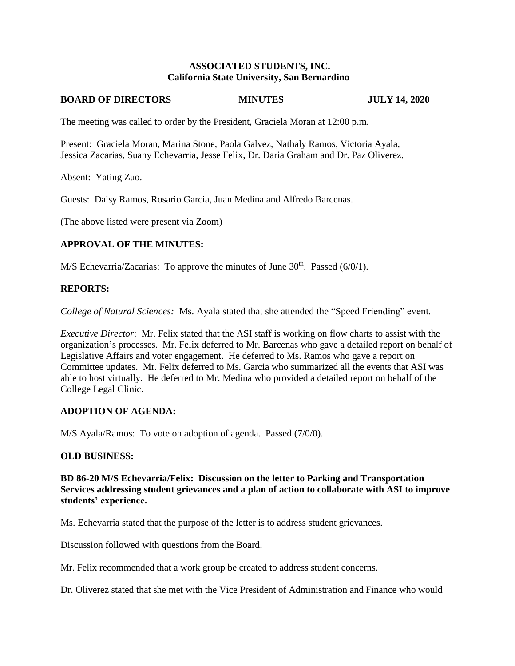## **ASSOCIATED STUDENTS, INC. California State University, San Bernardino**

#### **BOARD OF DIRECTORS MINUTES JULY 14, 2020**

The meeting was called to order by the President, Graciela Moran at 12:00 p.m.

Present: Graciela Moran, Marina Stone, Paola Galvez, Nathaly Ramos, Victoria Ayala, Jessica Zacarias, Suany Echevarria, Jesse Felix, Dr. Daria Graham and Dr. Paz Oliverez.

Absent: Yating Zuo.

Guests: Daisy Ramos, Rosario Garcia, Juan Medina and Alfredo Barcenas.

(The above listed were present via Zoom)

# **APPROVAL OF THE MINUTES:**

M/S Echevarria/Zacarias: To approve the minutes of June  $30<sup>th</sup>$ . Passed (6/0/1).

### **REPORTS:**

*College of Natural Sciences:* Ms. Ayala stated that she attended the "Speed Friending" event.

*Executive Director*: Mr. Felix stated that the ASI staff is working on flow charts to assist with the organization's processes. Mr. Felix deferred to Mr. Barcenas who gave a detailed report on behalf of Legislative Affairs and voter engagement. He deferred to Ms. Ramos who gave a report on Committee updates. Mr. Felix deferred to Ms. Garcia who summarized all the events that ASI was able to host virtually. He deferred to Mr. Medina who provided a detailed report on behalf of the College Legal Clinic.

# **ADOPTION OF AGENDA:**

M/S Ayala/Ramos: To vote on adoption of agenda. Passed (7/0/0).

#### **OLD BUSINESS:**

**BD 86-20 M/S Echevarria/Felix: Discussion on the letter to Parking and Transportation Services addressing student grievances and a plan of action to collaborate with ASI to improve students' experience.** 

Ms. Echevarria stated that the purpose of the letter is to address student grievances.

Discussion followed with questions from the Board.

Mr. Felix recommended that a work group be created to address student concerns.

Dr. Oliverez stated that she met with the Vice President of Administration and Finance who would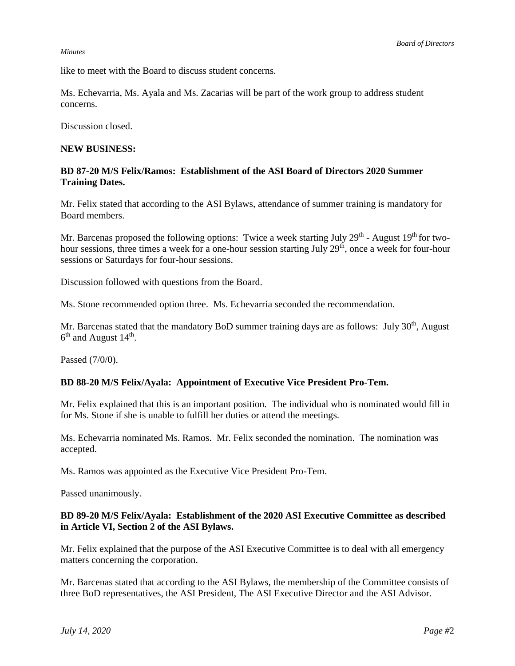#### *Minutes*

like to meet with the Board to discuss student concerns.

Ms. Echevarria, Ms. Ayala and Ms. Zacarias will be part of the work group to address student concerns.

Discussion closed.

### **NEW BUSINESS:**

# **BD 87-20 M/S Felix/Ramos: Establishment of the ASI Board of Directors 2020 Summer Training Dates.**

Mr. Felix stated that according to the ASI Bylaws, attendance of summer training is mandatory for Board members.

Mr. Barcenas proposed the following options: Twice a week starting July 29<sup>th</sup> - August 19<sup>th</sup> for twohour sessions, three times a week for a one-hour session starting July 29<sup>th</sup>, once a week for four-hour sessions or Saturdays for four-hour sessions.

Discussion followed with questions from the Board.

Ms. Stone recommended option three. Ms. Echevarria seconded the recommendation.

Mr. Barcenas stated that the mandatory BoD summer training days are as follows: July 30<sup>th</sup>, August  $6<sup>th</sup>$  and August 14<sup>th</sup>.

Passed (7/0/0).

# **BD 88-20 M/S Felix/Ayala: Appointment of Executive Vice President Pro-Tem.**

Mr. Felix explained that this is an important position. The individual who is nominated would fill in for Ms. Stone if she is unable to fulfill her duties or attend the meetings.

Ms. Echevarria nominated Ms. Ramos. Mr. Felix seconded the nomination. The nomination was accepted.

Ms. Ramos was appointed as the Executive Vice President Pro-Tem.

Passed unanimously.

### **BD 89-20 M/S Felix/Ayala: Establishment of the 2020 ASI Executive Committee as described in Article VI, Section 2 of the ASI Bylaws.**

Mr. Felix explained that the purpose of the ASI Executive Committee is to deal with all emergency matters concerning the corporation.

Mr. Barcenas stated that according to the ASI Bylaws, the membership of the Committee consists of three BoD representatives, the ASI President, The ASI Executive Director and the ASI Advisor.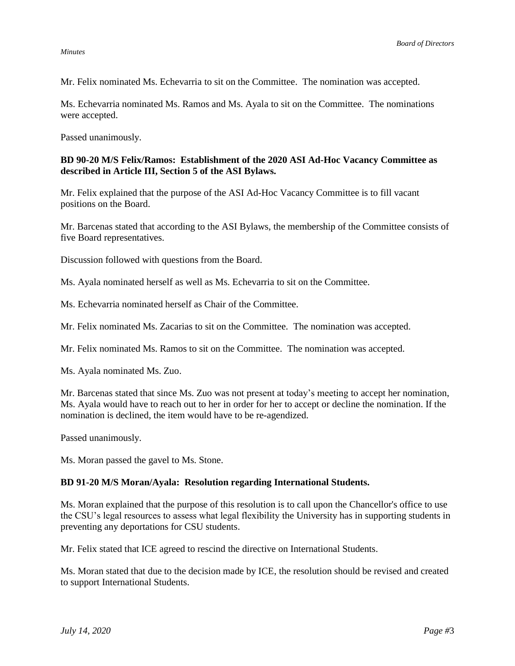#### *Minutes*

Mr. Felix nominated Ms. Echevarria to sit on the Committee. The nomination was accepted.

Ms. Echevarria nominated Ms. Ramos and Ms. Ayala to sit on the Committee. The nominations were accepted.

Passed unanimously.

# **BD 90-20 M/S Felix/Ramos: Establishment of the 2020 ASI Ad-Hoc Vacancy Committee as described in Article III, Section 5 of the ASI Bylaws.**

Mr. Felix explained that the purpose of the ASI Ad-Hoc Vacancy Committee is to fill vacant positions on the Board.

Mr. Barcenas stated that according to the ASI Bylaws, the membership of the Committee consists of five Board representatives.

Discussion followed with questions from the Board.

Ms. Ayala nominated herself as well as Ms. Echevarria to sit on the Committee.

Ms. Echevarria nominated herself as Chair of the Committee.

Mr. Felix nominated Ms. Zacarias to sit on the Committee. The nomination was accepted.

Mr. Felix nominated Ms. Ramos to sit on the Committee. The nomination was accepted.

Ms. Ayala nominated Ms. Zuo.

Mr. Barcenas stated that since Ms. Zuo was not present at today's meeting to accept her nomination, Ms. Ayala would have to reach out to her in order for her to accept or decline the nomination. If the nomination is declined, the item would have to be re-agendized.

Passed unanimously.

Ms. Moran passed the gavel to Ms. Stone.

# **BD 91-20 M/S Moran/Ayala: Resolution regarding International Students.**

Ms. Moran explained that the purpose of this resolution is to call upon the Chancellor's office to use the CSU's legal resources to assess what legal flexibility the University has in supporting students in preventing any deportations for CSU students.

Mr. Felix stated that ICE agreed to rescind the directive on International Students.

Ms. Moran stated that due to the decision made by ICE, the resolution should be revised and created to support International Students.